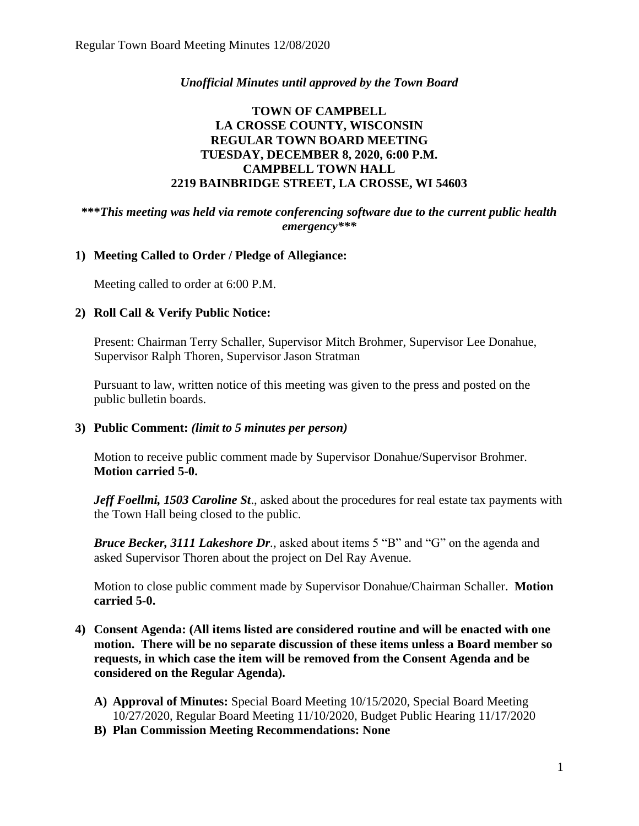### *Unofficial Minutes until approved by the Town Board*

## **TOWN OF CAMPBELL LA CROSSE COUNTY, WISCONSIN REGULAR TOWN BOARD MEETING TUESDAY, DECEMBER 8, 2020, 6:00 P.M. CAMPBELL TOWN HALL 2219 BAINBRIDGE STREET, LA CROSSE, WI 54603**

### **\*\*\****This meeting was held via remote conferencing software due to the current public health emergency\*\*\**

### **1) Meeting Called to Order / Pledge of Allegiance:**

Meeting called to order at 6:00 P.M.

### **2) Roll Call & Verify Public Notice:**

Present: Chairman Terry Schaller, Supervisor Mitch Brohmer, Supervisor Lee Donahue, Supervisor Ralph Thoren, Supervisor Jason Stratman

Pursuant to law, written notice of this meeting was given to the press and posted on the public bulletin boards.

### **3) Public Comment:** *(limit to 5 minutes per person)*

Motion to receive public comment made by Supervisor Donahue/Supervisor Brohmer. **Motion carried 5-0.**

*Jeff Foellmi, 1503 Caroline St., asked about the procedures for real estate tax payments with* the Town Hall being closed to the public.

*Bruce Becker, 3111 Lakeshore Dr.,* asked about items 5 "B" and "G" on the agenda and asked Supervisor Thoren about the project on Del Ray Avenue.

Motion to close public comment made by Supervisor Donahue/Chairman Schaller. **Motion carried 5-0.**

- **4) Consent Agenda: (All items listed are considered routine and will be enacted with one motion. There will be no separate discussion of these items unless a Board member so requests, in which case the item will be removed from the Consent Agenda and be considered on the Regular Agenda).**
	- **A) Approval of Minutes:** Special Board Meeting 10/15/2020, Special Board Meeting 10/27/2020, Regular Board Meeting 11/10/2020, Budget Public Hearing 11/17/2020
	- **B) Plan Commission Meeting Recommendations: None**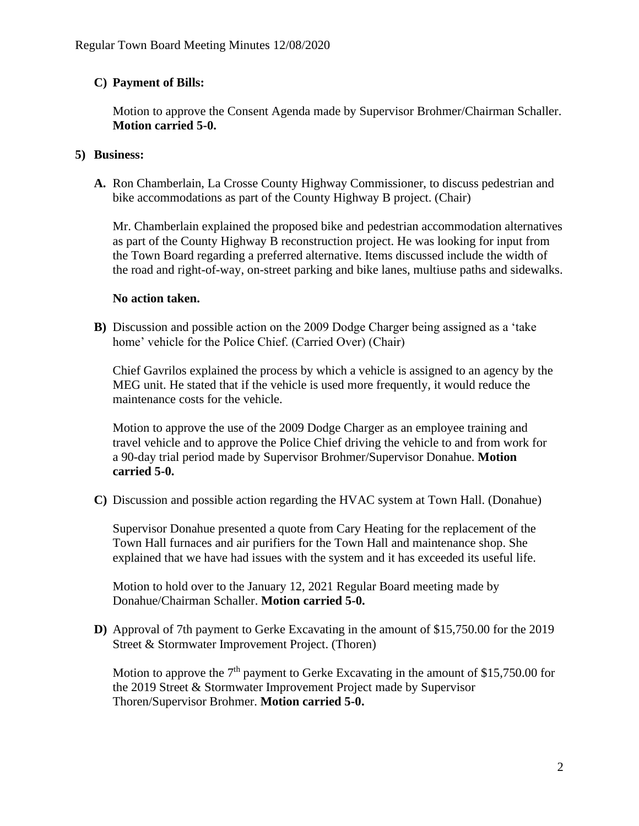# **C) Payment of Bills:**

Motion to approve the Consent Agenda made by Supervisor Brohmer/Chairman Schaller. **Motion carried 5-0.**

## **5) Business:**

**A.** Ron Chamberlain, La Crosse County Highway Commissioner, to discuss pedestrian and bike accommodations as part of the County Highway B project. (Chair)

Mr. Chamberlain explained the proposed bike and pedestrian accommodation alternatives as part of the County Highway B reconstruction project. He was looking for input from the Town Board regarding a preferred alternative. Items discussed include the width of the road and right-of-way, on-street parking and bike lanes, multiuse paths and sidewalks.

## **No action taken.**

**B)** Discussion and possible action on the 2009 Dodge Charger being assigned as a 'take home' vehicle for the Police Chief. (Carried Over) (Chair)

Chief Gavrilos explained the process by which a vehicle is assigned to an agency by the MEG unit. He stated that if the vehicle is used more frequently, it would reduce the maintenance costs for the vehicle.

Motion to approve the use of the 2009 Dodge Charger as an employee training and travel vehicle and to approve the Police Chief driving the vehicle to and from work for a 90-day trial period made by Supervisor Brohmer/Supervisor Donahue. **Motion carried 5-0.**

**C)** Discussion and possible action regarding the HVAC system at Town Hall. (Donahue)

Supervisor Donahue presented a quote from Cary Heating for the replacement of the Town Hall furnaces and air purifiers for the Town Hall and maintenance shop. She explained that we have had issues with the system and it has exceeded its useful life.

Motion to hold over to the January 12, 2021 Regular Board meeting made by Donahue/Chairman Schaller. **Motion carried 5-0.** 

**D)** Approval of 7th payment to Gerke Excavating in the amount of \$15,750.00 for the 2019 Street & Stormwater Improvement Project. (Thoren)

Motion to approve the  $7<sup>th</sup>$  payment to Gerke Excavating in the amount of \$15,750.00 for the 2019 Street & Stormwater Improvement Project made by Supervisor Thoren/Supervisor Brohmer. **Motion carried 5-0.**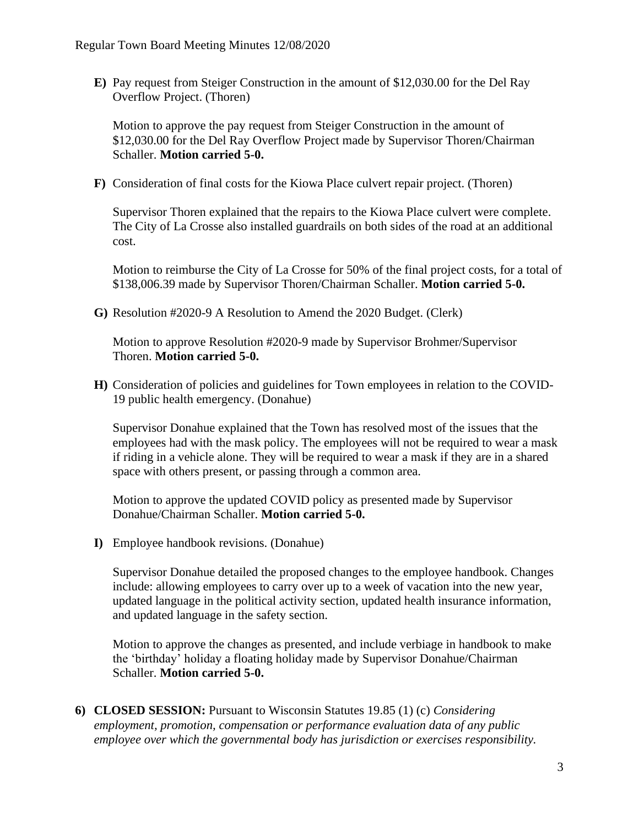**E)** Pay request from Steiger Construction in the amount of \$12,030.00 for the Del Ray Overflow Project. (Thoren)

Motion to approve the pay request from Steiger Construction in the amount of \$12,030.00 for the Del Ray Overflow Project made by Supervisor Thoren/Chairman Schaller. **Motion carried 5-0.**

**F)** Consideration of final costs for the Kiowa Place culvert repair project. (Thoren)

Supervisor Thoren explained that the repairs to the Kiowa Place culvert were complete. The City of La Crosse also installed guardrails on both sides of the road at an additional cost.

Motion to reimburse the City of La Crosse for 50% of the final project costs, for a total of \$138,006.39 made by Supervisor Thoren/Chairman Schaller. **Motion carried 5-0.** 

**G)** Resolution #2020-9 A Resolution to Amend the 2020 Budget. (Clerk)

Motion to approve Resolution #2020-9 made by Supervisor Brohmer/Supervisor Thoren. **Motion carried 5-0.**

**H)** Consideration of policies and guidelines for Town employees in relation to the COVID-19 public health emergency. (Donahue)

Supervisor Donahue explained that the Town has resolved most of the issues that the employees had with the mask policy. The employees will not be required to wear a mask if riding in a vehicle alone. They will be required to wear a mask if they are in a shared space with others present, or passing through a common area.

Motion to approve the updated COVID policy as presented made by Supervisor Donahue/Chairman Schaller. **Motion carried 5-0.**

**I)** Employee handbook revisions. (Donahue)

Supervisor Donahue detailed the proposed changes to the employee handbook. Changes include: allowing employees to carry over up to a week of vacation into the new year, updated language in the political activity section, updated health insurance information, and updated language in the safety section.

Motion to approve the changes as presented, and include verbiage in handbook to make the 'birthday' holiday a floating holiday made by Supervisor Donahue/Chairman Schaller. **Motion carried 5-0.**

**6) CLOSED SESSION:** Pursuant to Wisconsin Statutes 19.85 (1) (c) *Considering employment, promotion, compensation or performance evaluation data of any public employee over which the governmental body has jurisdiction or exercises responsibility.*